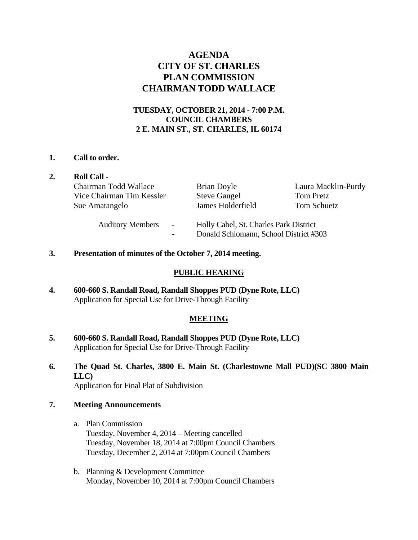## **AGENDA CITY OF ST. CHARLES PLAN COMMISSION CHAIRMAN TODD WALLACE**

### **TUESDAY, OCTOBER 21, 2014 - 7:00 P.M. COUNCIL CHAMBERS 2 E. MAIN ST., ST. CHARLES, IL 60174**

#### **1. Call to order.**

| <b>Roll Call -</b>        |                |                                                                                  |                     |
|---------------------------|----------------|----------------------------------------------------------------------------------|---------------------|
| Chairman Todd Wallace     |                | Brian Doyle                                                                      | Laura Macklin-Purdy |
| Vice Chairman Tim Kessler |                | <b>Steve Gaugel</b>                                                              | Tom Pretz           |
| Sue Amatangelo            |                | James Holderfield                                                                | Tom Schuetz         |
| <b>Auditory Members</b>   | $\blacksquare$ | Holly Cabel, St. Charles Park District<br>Donald Schlomann, School District #303 |                     |

**3. Presentation of minutes of the October 7, 2014 meeting.** 

#### **PUBLIC HEARING**

**4. 600-660 S. Randall Road, Randall Shoppes PUD (Dyne Rote, LLC)**  Application for Special Use for Drive-Through Facility

#### **MEETING**

- **5. 600-660 S. Randall Road, Randall Shoppes PUD (Dyne Rote, LLC)**  Application for Special Use for Drive-Through Facility
- **6. The Quad St. Charles, 3800 E. Main St. (Charlestowne Mall PUD)(SC 3800 Main LLC)**  Application for Final Plat of Subdivision

## **7. Meeting Announcements**

- a. Plan Commission Tuesday, November 4, 2014 – Meeting cancelled Tuesday, November 18, 2014 at 7:00pm Council Chambers Tuesday, December 2, 2014 at 7:00pm Council Chambers
- b. Planning & Development Committee Monday, November 10, 2014 at 7:00pm Council Chambers